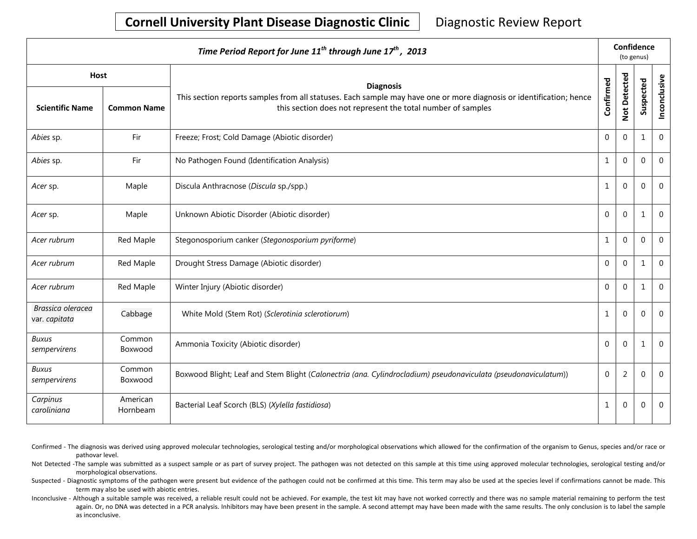# **Cornell University Plant Disease Diagnostic Clinic** | Diagnostic Review Report

| Time Period Report for June 11 <sup>th</sup> through June 17 <sup>th</sup> , 2013 |                      |                                                                                                                                                                                    |                  |                | Confidence<br>(to genus) |              |  |  |
|-----------------------------------------------------------------------------------|----------------------|------------------------------------------------------------------------------------------------------------------------------------------------------------------------------------|------------------|----------------|--------------------------|--------------|--|--|
| <b>Host</b>                                                                       |                      | <b>Diagnosis</b>                                                                                                                                                                   |                  |                |                          |              |  |  |
| <b>Scientific Name</b>                                                            | <b>Common Name</b>   | This section reports samples from all statuses. Each sample may have one or more diagnosis or identification; hence<br>this section does not represent the total number of samples | Confirmed        | Not Detected   | Suspected                | Inconclusive |  |  |
| Abies sp.                                                                         | Fir                  | Freeze; Frost; Cold Damage (Abiotic disorder)                                                                                                                                      | $\mathbf 0$      | $\Omega$       | 1                        | $\Omega$     |  |  |
| Abies sp.                                                                         | Fir                  | No Pathogen Found (Identification Analysis)                                                                                                                                        | $\mathbf{1}$     | $\mathbf 0$    | $\mathbf{0}$             | $\mathbf 0$  |  |  |
| Acer sp.                                                                          | Maple                | Discula Anthracnose (Discula sp./spp.)                                                                                                                                             | $\mathbf 1$      | $\mathbf{0}$   | $\Omega$                 | $\mathbf 0$  |  |  |
| Acer sp.                                                                          | Maple                | Unknown Abiotic Disorder (Abiotic disorder)                                                                                                                                        | $\mathbf 0$      | $\Omega$       | 1                        | $\mathbf 0$  |  |  |
| Acer rubrum                                                                       | Red Maple            | Stegonosporium canker (Stegonosporium pyriforme)                                                                                                                                   | $\mathbf{1}$     | $\Omega$       | $\Omega$                 | $\Omega$     |  |  |
| Acer rubrum                                                                       | Red Maple            | Drought Stress Damage (Abiotic disorder)                                                                                                                                           | $\mathbf 0$      | $\mathbf 0$    | 1                        | $\mathbf 0$  |  |  |
| Acer rubrum                                                                       | Red Maple            | Winter Injury (Abiotic disorder)                                                                                                                                                   | $\mathbf 0$      | $\Omega$       | 1                        | $\mathbf 0$  |  |  |
| Brassica oleracea<br>var. capitata                                                | Cabbage              | White Mold (Stem Rot) (Sclerotinia sclerotiorum)                                                                                                                                   | $\mathbf{1}$     | $\mathbf 0$    | $\mathbf{0}$             | $\mathbf 0$  |  |  |
| <b>Buxus</b><br>sempervirens                                                      | Common<br>Boxwood    | Ammonia Toxicity (Abiotic disorder)                                                                                                                                                | $\mathbf{0}$     | $\Omega$       | 1                        | $\mathbf 0$  |  |  |
| <b>Buxus</b><br>sempervirens                                                      | Common<br>Boxwood    | Boxwood Blight; Leaf and Stem Blight (Calonectria (ana. Cylindrocladium) pseudonaviculata (pseudonaviculatum))                                                                     | $\boldsymbol{0}$ | $\overline{2}$ | $\mathbf 0$              | $\Omega$     |  |  |
| Carpinus<br>caroliniana                                                           | American<br>Hornbeam | Bacterial Leaf Scorch (BLS) (Xylella fastidiosa)                                                                                                                                   | $\mathbf{1}$     | $\overline{0}$ | $\mathbf 0$              | $\mathbf 0$  |  |  |

Confirmed - The diagnosis was derived using approved molecular technologies, serological testing and/or morphological observations which allowed for the confirmation of the organism to Genus, species and/or race or pathovar level.

Not Detected -The sample was submitted as a suspect sample or as part of survey project. The pathogen was not detected on this sample at this time using approved molecular technologies, serological testing and/or morphological observations.

Suspected - Diagnostic symptoms of the pathogen were present but evidence of the pathogen could not be confirmed at this time. This term may also be used at the species level if confirmations cannot be made. This term may also be used with abiotic entries.

Inconclusive - Although a suitable sample was received, a reliable result could not be achieved. For example, the test kit may have not worked correctly and there was no sample material remaining to perform the test again. Or, no DNA was detected in a PCR analysis. Inhibitors may have been present in the sample. A second attempt may have been made with the same results. The only conclusion is to label the sample as inconclusive.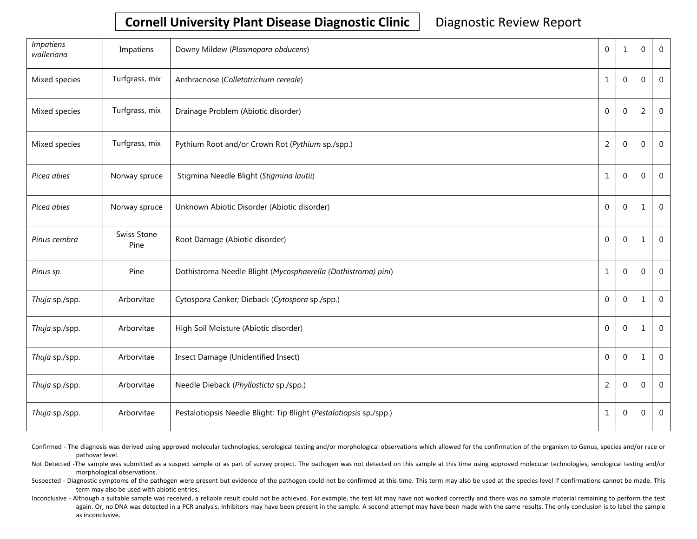## **Cornell University Plant Disease Diagnostic Clinic** | Diagnostic Review Report

| <i>Impatiens</i><br>walleriana | Impatiens           | Downy Mildew (Plasmopara obducens)                                 | $\Omega$       | 1              | 0              | $\overline{0}$ |
|--------------------------------|---------------------|--------------------------------------------------------------------|----------------|----------------|----------------|----------------|
| Mixed species                  | Turfgrass, mix      | Anthracnose (Colletotrichum cereale)                               | 1              | $\Omega$       | 0              | 0              |
| Mixed species                  | Turfgrass, mix      | Drainage Problem (Abiotic disorder)                                | $\Omega$       | $\Omega$       | $\overline{2}$ | 0              |
| Mixed species                  | Turfgrass, mix      | Pythium Root and/or Crown Rot (Pythium sp./spp.)                   | $\overline{2}$ | $\Omega$       | 0              | $\mathbf 0$    |
| Picea abies                    | Norway spruce       | Stigmina Needle Blight (Stigmina lautii)                           | 1              | $\Omega$       | 0              | $\overline{0}$ |
| Picea abies                    | Norway spruce       | Unknown Abiotic Disorder (Abiotic disorder)                        | $\overline{0}$ | $\Omega$       | $\mathbf{1}$   | 0              |
| Pinus cembra                   | Swiss Stone<br>Pine | Root Damage (Abiotic disorder)                                     | $\overline{0}$ | $\overline{0}$ | 1              | $\mathbf 0$    |
| Pinus sp.                      | Pine                | Dothistroma Needle Blight (Mycosphaerella (Dothistroma) pini)      | 1              | $\Omega$       | 0              | $\mathbf 0$    |
| Thuja sp./spp.                 | Arborvitae          | Cytospora Canker; Dieback (Cytospora sp./spp.)                     | $\Omega$       | $\Omega$       | 1              | 0              |
| Thuja sp./spp.                 | Arborvitae          | High Soil Moisture (Abiotic disorder)                              | $\Omega$       | $\overline{0}$ | 1              | $\mathbf{0}$   |
| Thuja sp./spp.                 | Arborvitae          | Insect Damage (Unidentified Insect)                                | $\Omega$       | $\Omega$       | 1              | $\mathbf{0}$   |
| Thuja sp./spp.                 | Arborvitae          | Needle Dieback (Phyllosticta sp./spp.)                             | $\overline{2}$ | $\Omega$       | 0              | $\mathbf 0$    |
| Thuja sp./spp.                 | Arborvitae          | Pestalotiopsis Needle Blight; Tip Blight (Pestalotiopsis sp./spp.) | $\mathbf{1}$   | 0              | $\mathbf{0}$   | 0              |

Confirmed - The diagnosis was derived using approved molecular technologies, serological testing and/or morphological observations which allowed for the confirmation of the organism to Genus, species and/or race or pathovar level.

Not Detected -The sample was submitted as a suspect sample or as part of survey project. The pathogen was not detected on this sample at this time using approved molecular technologies, serological testing and/or morphological observations.

Suspected - Diagnostic symptoms of the pathogen were present but evidence of the pathogen could not be confirmed at this time. This term may also be used at the species level if confirmations cannot be made. This term may also be used with abiotic entries.

Inconclusive - Although a suitable sample was received, a reliable result could not be achieved. For example, the test kit may have not worked correctly and there was no sample material remaining to perform the test again. Or, no DNA was detected in a PCR analysis. Inhibitors may have been present in the sample. A second attempt may have been made with the same results. The only conclusion is to label the sample as inconclusive.